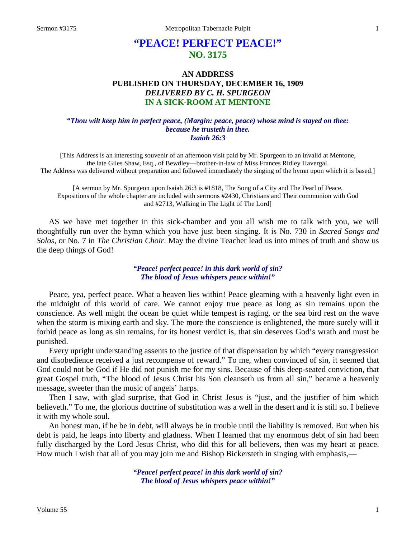# **"PEACE! PERFECT PEACE!" NO. 3175**

# **AN ADDRESS PUBLISHED ON THURSDAY, DECEMBER 16, 1909** *DELIVERED BY C. H. SPURGEON* **IN A SICK-ROOM AT MENTONE**

#### *"Thou wilt keep him in perfect peace, (Margin: peace, peace) whose mind is stayed on thee: because he trusteth in thee. Isaiah 26:3*

[This Address is an interesting souvenir of an afternoon visit paid by Mr. Spurgeon to an invalid at Mentone, the late Giles Shaw, Esq., of Bewdley—brother-in-law of Miss Frances Ridley Havergal. The Address was delivered without preparation and followed immediately the singing of the hymn upon which it is based.]

[A sermon by Mr. Spurgeon upon Isaiah 26:3 is #1818, The Song of a City and The Pearl of Peace. Expositions of the whole chapter are included with sermons #2430, Christians and Their communion with God and #2713, Walking in The Light of The Lord]

AS we have met together in this sick-chamber and you all wish me to talk with you, we will thoughtfully run over the hymn which you have just been singing. It is No. 730 in *Sacred Songs and Solos*, or No. 7 in *The Christian Choir*. May the divine Teacher lead us into mines of truth and show us the deep things of God!

### *"Peace! perfect peace! in this dark world of sin? The blood of Jesus whispers peace within!"*

Peace, yea, perfect peace. What a heaven lies within! Peace gleaming with a heavenly light even in the midnight of this world of care. We cannot enjoy true peace as long as sin remains upon the conscience. As well might the ocean be quiet while tempest is raging, or the sea bird rest on the wave when the storm is mixing earth and sky. The more the conscience is enlightened, the more surely will it forbid peace as long as sin remains, for its honest verdict is, that sin deserves God's wrath and must be punished.

Every upright understanding assents to the justice of that dispensation by which "every transgression and disobedience received a just recompense of reward." To me, when convinced of sin, it seemed that God could not be God if He did not punish me for my sins. Because of this deep-seated conviction, that great Gospel truth, "The blood of Jesus Christ his Son cleanseth us from all sin," became a heavenly message, sweeter than the music of angels' harps.

Then I saw, with glad surprise, that God in Christ Jesus is "just, and the justifier of him which believeth." To me, the glorious doctrine of substitution was a well in the desert and it is still so. I believe it with my whole soul.

An honest man, if he be in debt, will always be in trouble until the liability is removed. But when his debt is paid, he leaps into liberty and gladness. When I learned that my enormous debt of sin had been fully discharged by the Lord Jesus Christ, who did this for all believers, then was my heart at peace. How much I wish that all of you may join me and Bishop Bickersteth in singing with emphasis,—

> *"Peace! perfect peace! in this dark world of sin? The blood of Jesus whispers peace within!"*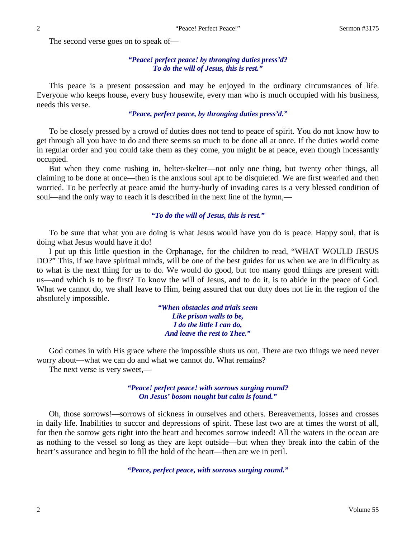The second verse goes on to speak of—

### *"Peace! perfect peace! by thronging duties press'd? To do the will of Jesus, this is rest."*

This peace is a present possession and may be enjoyed in the ordinary circumstances of life. Everyone who keeps house, every busy housewife, every man who is much occupied with his business, needs this verse.

### *"Peace, perfect peace, by thronging duties press'd."*

To be closely pressed by a crowd of duties does not tend to peace of spirit. You do not know how to get through all you have to do and there seems so much to be done all at once. If the duties world come in regular order and you could take them as they come, you might be at peace, even though incessantly occupied.

But when they come rushing in, helter-skelter—not only one thing, but twenty other things, all claiming to be done at once—then is the anxious soul apt to be disquieted. We are first wearied and then worried. To be perfectly at peace amid the hurry-burly of invading cares is a very blessed condition of soul—and the only way to reach it is described in the next line of the hymn,—

#### *"To do the will of Jesus, this is rest."*

To be sure that what you are doing is what Jesus would have you do is peace. Happy soul, that is doing what Jesus would have it do!

I put up this little question in the Orphanage, for the children to read, "WHAT WOULD JESUS DO?" This, if we have spiritual minds, will be one of the best guides for us when we are in difficulty as to what is the next thing for us to do. We would do good, but too many good things are present with us—and which is to be first? To know the will of Jesus, and to do it, is to abide in the peace of God. What we cannot do, we shall leave to Him, being assured that our duty does not lie in the region of the absolutely impossible.

> *"When obstacles and trials seem Like prison walls to be, I do the little I can do, And leave the rest to Thee."*

God comes in with His grace where the impossible shuts us out. There are two things we need never worry about—what we can do and what we cannot do. What remains?

The next verse is very sweet,—

*"Peace! perfect peace! with sorrows surging round? On Jesus' bosom nought but calm is found."*

Oh, those sorrows!—sorrows of sickness in ourselves and others. Bereavements, losses and crosses in daily life. Inabilities to succor and depressions of spirit. These last two are at times the worst of all, for then the sorrow gets right into the heart and becomes sorrow indeed! All the waters in the ocean are as nothing to the vessel so long as they are kept outside—but when they break into the cabin of the heart's assurance and begin to fill the hold of the heart—then are we in peril.

*"Peace, perfect peace, with sorrows surging round."*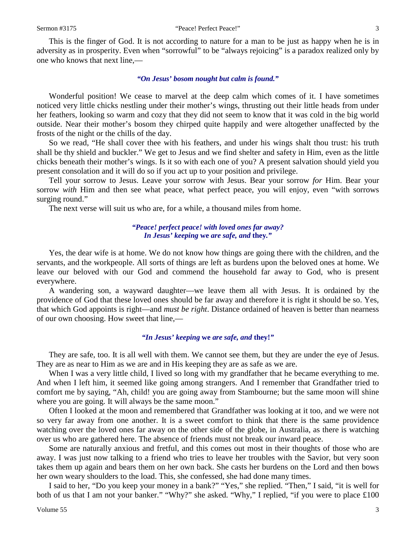This is the finger of God. It is not according to nature for a man to be just as happy when he is in adversity as in prosperity. Even when "sorrowful" to be "always rejoicing" is a paradox realized only by one who knows that next line,—

#### *"On Jesus' bosom nought but calm is found."*

Wonderful position! We cease to marvel at the deep calm which comes of it. I have sometimes noticed very little chicks nestling under their mother's wings, thrusting out their little heads from under her feathers, looking so warm and cozy that they did not seem to know that it was cold in the big world outside. Near their mother's bosom they chirped quite happily and were altogether unaffected by the frosts of the night or the chills of the day.

So we read, "He shall cover thee with his feathers, and under his wings shalt thou trust: his truth shall be thy shield and buckler." We get to Jesus and we find shelter and safety in Him, even as the little chicks beneath their mother's wings. Is it so with each one of you? A present salvation should yield you present consolation and it will do so if you act up to your position and privilege.

Tell your sorrow to Jesus. Leave your sorrow with Jesus. Bear your sorrow *for* Him. Bear your sorrow *with* Him and then see what peace, what perfect peace, you will enjoy, even "with sorrows surging round."

The next verse will suit us who are, for a while, a thousand miles from home.

#### *"Peace! perfect peace! with loved ones far away? In Jesus' keeping* **we** *are safe, and* **they***."*

Yes, the dear wife is at home. We do not know how things are going there with the children, and the servants, and the workpeople. All sorts of things are left as burdens upon the beloved ones at home. We leave our beloved with our God and commend the household far away to God, who is present everywhere.

A wandering son, a wayward daughter—we leave them all with Jesus. It is ordained by the providence of God that these loved ones should be far away and therefore it is right it should be so. Yes, that which God appoints is right—and *must be right*. Distance ordained of heaven is better than nearness of our own choosing. How sweet that line,—

#### *"In Jesus' keeping* **we** *are safe, and* **they!***"*

They are safe, too. It is all well with them. We cannot see them, but they are under the eye of Jesus. They are as near to Him as we are and in His keeping they are as safe as we are.

When I was a very little child, I lived so long with my grandfather that he became everything to me. And when I left him, it seemed like going among strangers. And I remember that Grandfather tried to comfort me by saying, "Ah, child! you are going away from Stambourne; but the same moon will shine where you are going. It will always be the same moon."

Often I looked at the moon and remembered that Grandfather was looking at it too, and we were not so very far away from one another. It is a sweet comfort to think that there is the same providence watching over the loved ones far away on the other side of the globe, in Australia, as there is watching over us who are gathered here. The absence of friends must not break our inward peace.

Some are naturally anxious and fretful, and this comes out most in their thoughts of those who are away. I was just now talking to a friend who tries to leave her troubles with the Savior, but very soon takes them up again and bears them on her own back. She casts her burdens on the Lord and then bows her own weary shoulders to the load. This, she confessed, she had done many times.

I said to her, "Do you keep your money in a bank?" "Yes," she replied. "Then," I said, "it is well for both of us that I am not your banker." "Why?" she asked. "Why," I replied, "if you were to place £100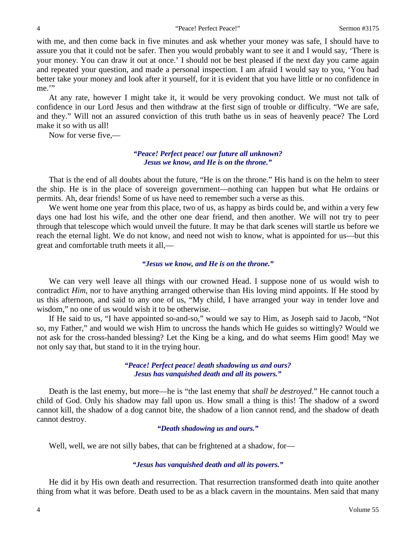with me, and then come back in five minutes and ask whether your money was safe, I should have to assure you that it could not be safer. Then you would probably want to see it and I would say, 'There is your money. You can draw it out at once.' I should not be best pleased if the next day you came again and repeated your question, and made a personal inspection. I am afraid I would say to you, 'You had better take your money and look after it yourself, for it is evident that you have little or no confidence in me."

At any rate, however I might take it, it would be very provoking conduct. We must not talk of confidence in our Lord Jesus and then withdraw at the first sign of trouble or difficulty. "We are safe, and they." Will not an assured conviction of this truth bathe us in seas of heavenly peace? The Lord make it so with us all!

Now for verse five,—

### *"Peace! Perfect peace! our future all unknown? Jesus we know, and He is on the throne."*

That is the end of all doubts about the future, "He is on the throne." His hand is on the helm to steer the ship. He is in the place of sovereign government—nothing can happen but what He ordains or permits. Ah, dear friends! Some of us have need to remember such a verse as this.

We went home one year from this place, two of us, as happy as birds could be, and within a very few days one had lost his wife, and the other one dear friend, and then another. We will not try to peer through that telescope which would unveil the future. It may be that dark scenes will startle us before we reach the eternal light. We do not know, and need not wish to know, what is appointed for us—but this great and comfortable truth meets it all,—

### *"Jesus we know, and He is on the throne."*

We can very well leave all things with our crowned Head. I suppose none of us would wish to contradict *Him*, nor to have anything arranged otherwise than His loving mind appoints. If He stood by us this afternoon, and said to any one of us, "My child, I have arranged your way in tender love and wisdom," no one of us would wish it to be otherwise.

If He said to us, "I have appointed so-and-so," would we say to Him, as Joseph said to Jacob, "Not so, my Father," and would we wish Him to uncross the hands which He guides so wittingly? Would we not ask for the cross-handed blessing? Let the King be a king, and do what seems Him good! May we not only say that, but stand to it in the trying hour.

### *"Peace! Perfect peace! death shadowing us and ours? Jesus has vanquished death and all its powers."*

Death is the last enemy, but more—he is "the last enemy that *shall be destroyed*." He cannot touch a child of God. Only his shadow may fall upon us. How small a thing is this! The shadow of a sword cannot kill, the shadow of a dog cannot bite, the shadow of a lion cannot rend, and the shadow of death cannot destroy.

#### *"Death shadowing us and ours."*

Well, well, we are not silly babes, that can be frightened at a shadow, for-

### *"Jesus has vanquished death and all its powers."*

He did it by His own death and resurrection. That resurrection transformed death into quite another thing from what it was before. Death used to be as a black cavern in the mountains. Men said that many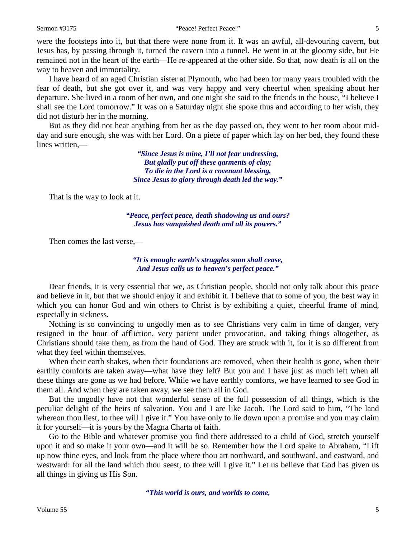were the footsteps into it, but that there were none from it. It was an awful, all-devouring cavern, but Jesus has, by passing through it, turned the cavern into a tunnel. He went in at the gloomy side, but He remained not in the heart of the earth—He re-appeared at the other side. So that, now death is all on the way to heaven and immortality.

I have heard of an aged Christian sister at Plymouth, who had been for many years troubled with the fear of death, but she got over it, and was very happy and very cheerful when speaking about her departure. She lived in a room of her own, and one night she said to the friends in the house, "I believe I shall see the Lord tomorrow." It was on a Saturday night she spoke thus and according to her wish, they did not disturb her in the morning.

But as they did not hear anything from her as the day passed on, they went to her room about midday and sure enough, she was with her Lord. On a piece of paper which lay on her bed, they found these lines written,—

> *"Since Jesus is mine, I'll not fear undressing, But gladly put off these garments of clay; To die in the Lord is a covenant blessing, Since Jesus to glory through death led the way."*

That is the way to look at it.

*"Peace, perfect peace, death shadowing us and ours? Jesus has vanquished death and all its powers."*

Then comes the last verse,—

*"It is enough: earth's struggles soon shall cease, And Jesus calls us to heaven's perfect peace."*

Dear friends, it is very essential that we, as Christian people, should not only talk about this peace and believe in it, but that we should enjoy it and exhibit it. I believe that to some of you, the best way in which you can honor God and win others to Christ is by exhibiting a quiet, cheerful frame of mind, especially in sickness.

Nothing is so convincing to ungodly men as to see Christians very calm in time of danger, very resigned in the hour of affliction, very patient under provocation, and taking things altogether, as Christians should take them, as from the hand of God. They are struck with it, for it is so different from what they feel within themselves.

When their earth shakes, when their foundations are removed, when their health is gone, when their earthly comforts are taken away—what have they left? But you and I have just as much left when all these things are gone as we had before. While we have earthly comforts, we have learned to see God in them all. And when they are taken away, we see them all in God.

But the ungodly have not that wonderful sense of the full possession of all things, which is the peculiar delight of the heirs of salvation. You and I are like Jacob. The Lord said to him, "The land whereon thou liest, to thee will I give it." You have only to lie down upon a promise and you may claim it for yourself—it is yours by the Magna Charta of faith.

Go to the Bible and whatever promise you find there addressed to a child of God, stretch yourself upon it and so make it your own—and it will be so. Remember how the Lord spake to Abraham, "Lift up now thine eyes, and look from the place where thou art northward, and southward, and eastward, and westward: for all the land which thou seest, to thee will I give it." Let us believe that God has given us all things in giving us His Son.

*"This world is ours, and worlds to come,*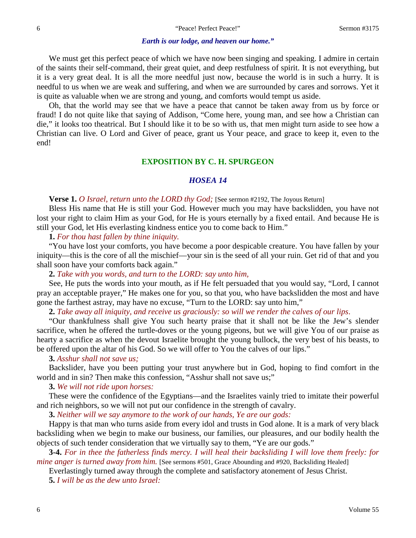#### *Earth is our lodge, and heaven our home."*

We must get this perfect peace of which we have now been singing and speaking. I admire in certain of the saints their self-command, their great quiet, and deep restfulness of spirit. It is not everything, but it is a very great deal. It is all the more needful just now, because the world is in such a hurry. It is needful to us when we are weak and suffering, and when we are surrounded by cares and sorrows. Yet it is quite as valuable when we are strong and young, and comforts would tempt us aside.

Oh, that the world may see that we have a peace that cannot be taken away from us by force or fraud! I do not quite like that saying of Addison, "Come here, young man, and see how a Christian can die," it looks too theatrical. But I should like it to be so with us, that men might turn aside to see how a Christian can live. O Lord and Giver of peace, grant us Your peace, and grace to keep it, even to the end!

#### **EXPOSITION BY C. H. SPURGEON**

# *HOSEA 14*

**Verse 1.** *O Israel, return unto the LORD thy God;* [See sermon #2192, The Joyous Return]

Bless His name that He is still your God. However much you may have backslidden, you have not lost your right to claim Him as your God, for He is yours eternally by a fixed entail. And because He is still your God, let His everlasting kindness entice you to come back to Him."

**1.** *For thou hast fallen by thine iniquity.*

"You have lost your comforts, you have become a poor despicable creature. You have fallen by your iniquity—this is the core of all the mischief—your sin is the seed of all your ruin. Get rid of that and you shall soon have your comforts back again."

**2.** *Take with you words, and turn to the LORD: say unto him,*

See, He puts the words into your mouth, as if He felt persuaded that you would say, "Lord, I cannot pray an acceptable prayer," He makes one for you, so that you, who have backslidden the most and have gone the farthest astray, may have no excuse, "Turn to the LORD: say unto him,"

**2.** *Take away all iniquity, and receive us graciously: so will we render the calves of our lips*.

"Our thankfulness shall give You such hearty praise that it shall not be like the Jew's slender sacrifice, when he offered the turtle-doves or the young pigeons, but we will give You of our praise as hearty a sacrifice as when the devout Israelite brought the young bullock, the very best of his beasts, to be offered upon the altar of his God. So we will offer to You the calves of our lips."

### **3.** *Asshur shall not save us;*

Backslider, have you been putting your trust anywhere but in God, hoping to find comfort in the world and in sin? Then make this confession, "Asshur shall not save us;"

#### **3.** *We will not ride upon horses:*

These were the confidence of the Egyptians—and the Israelites vainly tried to imitate their powerful and rich neighbors, so we will not put our confidence in the strength of cavalry.

**3.** *Neither will we say anymore to the work of our hands, Ye are our gods:*

Happy is that man who turns aside from every idol and trusts in God alone. It is a mark of very black backsliding when we begin to make our business, our families, our pleasures, and our bodily health the objects of such tender consideration that we virtually say to them, "Ye are our gods."

**3-4.** *For in thee the fatherless finds mercy. I will heal their backsliding I will love them freely: for mine anger is turned away from him.* [See sermons #501, Grace Abounding and #920, Backsliding Healed]

Everlastingly turned away through the complete and satisfactory atonement of Jesus Christ.

**5.** *I will be as the dew unto Israel:*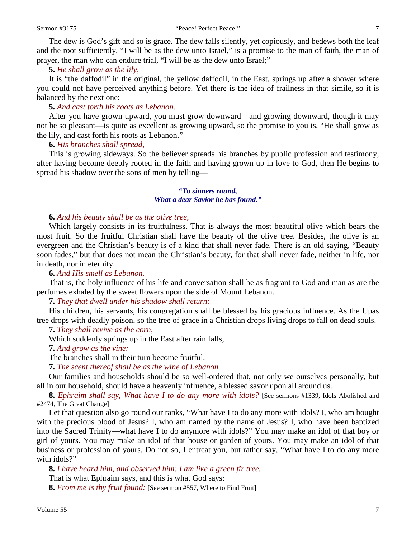#### Sermon #3175 "Peace! Perfect Peace!" 7

The dew is God's gift and so is grace. The dew falls silently, yet copiously, and bedews both the leaf and the root sufficiently. "I will be as the dew unto Israel," is a promise to the man of faith, the man of prayer, the man who can endure trial, "I will be as the dew unto Israel;"

# **5.** *He shall grow as the lily,*

It is "the daffodil" in the original, the yellow daffodil, in the East, springs up after a shower where you could not have perceived anything before. Yet there is the idea of frailness in that simile, so it is balanced by the next one:

# **5.** *And cast forth his roots as Lebanon.*

After you have grown upward, you must grow downward—and growing downward, though it may not be so pleasant—is quite as excellent as growing upward, so the promise to you is, "He shall grow as the lily, and cast forth his roots as Lebanon."

**6.** *His branches shall spread,*

This is growing sideways. So the believer spreads his branches by public profession and testimony, after having become deeply rooted in the faith and having grown up in love to God, then He begins to spread his shadow over the sons of men by telling—

### *"To sinners round, What a dear Savior he has found."*

### **6.** *And his beauty shall be as the olive tree,*

Which largely consists in its fruitfulness. That is always the most beautiful olive which bears the most fruit. So the fruitful Christian shall have the beauty of the olive tree. Besides, the olive is an evergreen and the Christian's beauty is of a kind that shall never fade. There is an old saying, "Beauty soon fades," but that does not mean the Christian's beauty, for that shall never fade, neither in life, nor in death, nor in eternity.

### **6.** *And His smell as Lebanon.*

That is, the holy influence of his life and conversation shall be as fragrant to God and man as are the perfumes exhaled by the sweet flowers upon the side of Mount Lebanon.

**7.** *They that dwell under his shadow shall return:*

His children, his servants, his congregation shall be blessed by his gracious influence. As the Upas tree drops with deadly poison, so the tree of grace in a Christian drops living drops to fall on dead souls.

**7.** *They shall revive as the corn,*

Which suddenly springs up in the East after rain falls,

**7.** *And grow as the vine:*

The branches shall in their turn become fruitful.

**7.** *The scent thereof shall be as the wine of Lebanon.*

Our families and households should be so well-ordered that, not only we ourselves personally, but all in our household, should have a heavenly influence, a blessed savor upon all around us.

**8.** *Ephraim shall say, What have I to do any more with idols?* [See sermons #1339, Idols Abolished and #2474, The Great Change]

Let that question also go round our ranks, "What have I to do any more with idols? I, who am bought with the precious blood of Jesus? I, who am named by the name of Jesus? I, who have been baptized into the Sacred Trinity—what have I to do anymore with idols?" You may make an idol of that boy or girl of yours. You may make an idol of that house or garden of yours. You may make an idol of that business or profession of yours. Do not so, I entreat you, but rather say, "What have I to do any more with idols?"

**8.** *I have heard him, and observed him: I am like a green fir tree.* That is what Ephraim says, and this is what God says: **8.** *From me is thy fruit found:* [See sermon #557, Where to Find Fruit]